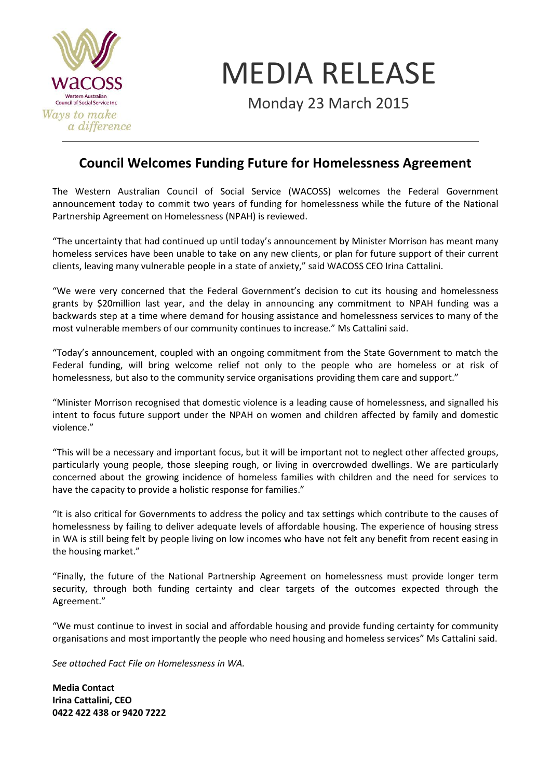

MEDIA RELEASE

Monday 23 March 2015

## **Council Welcomes Funding Future for Homelessness Agreement**

The Western Australian Council of Social Service (WACOSS) welcomes the Federal Government announcement today to commit two years of funding for homelessness while the future of the National Partnership Agreement on Homelessness (NPAH) is reviewed.

"The uncertainty that had continued up until today's announcement by Minister Morrison has meant many homeless services have been unable to take on any new clients, or plan for future support of their current clients, leaving many vulnerable people in a state of anxiety," said WACOSS CEO Irina Cattalini.

"We were very concerned that the Federal Government's decision to cut its housing and homelessness grants by \$20million last year, and the delay in announcing any commitment to NPAH funding was a backwards step at a time where demand for housing assistance and homelessness services to many of the most vulnerable members of our community continues to increase." Ms Cattalini said.

"Today's announcement, coupled with an ongoing commitment from the State Government to match the Federal funding, will bring welcome relief not only to the people who are homeless or at risk of homelessness, but also to the community service organisations providing them care and support."

"Minister Morrison recognised that domestic violence is a leading cause of homelessness, and signalled his intent to focus future support under the NPAH on women and children affected by family and domestic violence."

"This will be a necessary and important focus, but it will be important not to neglect other affected groups, particularly young people, those sleeping rough, or living in overcrowded dwellings. We are particularly concerned about the growing incidence of homeless families with children and the need for services to have the capacity to provide a holistic response for families."

"It is also critical for Governments to address the policy and tax settings which contribute to the causes of homelessness by failing to deliver adequate levels of affordable housing. The experience of housing stress in WA is still being felt by people living on low incomes who have not felt any benefit from recent easing in the housing market."

"Finally, the future of the National Partnership Agreement on homelessness must provide longer term security, through both funding certainty and clear targets of the outcomes expected through the Agreement."

"We must continue to invest in social and affordable housing and provide funding certainty for community organisations and most importantly the people who need housing and homeless services" Ms Cattalini said.

*See attached Fact File on Homelessness in WA.*

**Media Contact Irina Cattalini, CEO 0422 422 438 or 9420 7222**